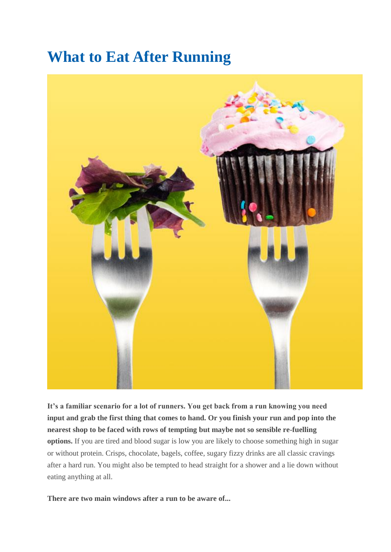# **What to Eat After Running**



**It's a familiar scenario for a lot of runners. You get back from a run knowing you need input and grab the first thing that comes to hand. Or you finish your run and pop into the nearest shop to be faced with rows of tempting but maybe not so sensible re-fuelling options.** If you are tired and blood sugar is low you are likely to choose something high in sugar or without protein. Crisps, chocolate, bagels, coffee, sugary fizzy drinks are all classic cravings after a hard run. You might also be tempted to head straight for a shower and a lie down without eating anything at all.

**There are two main windows after a run to be aware of...**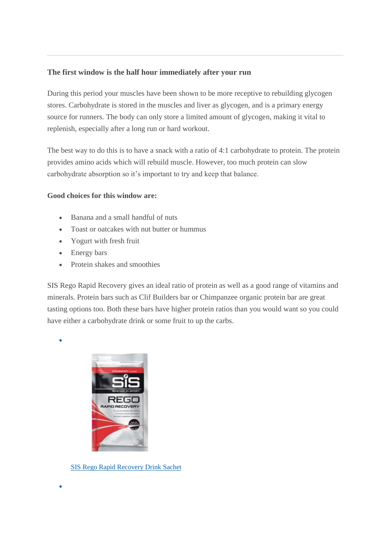### **The first window is the half hour immediately after your run**

During this period your muscles have been shown to be more receptive to rebuilding glycogen stores. Carbohydrate is stored in the muscles and liver as glycogen, and is a primary energy source for runners. The body can only store a limited amount of glycogen, making it vital to replenish, especially after a long run or hard workout.

The best way to do this is to have a snack with a ratio of 4:1 carbohydrate to protein. The protein provides amino acids which will rebuild muscle. However, too much protein can slow carbohydrate absorption so it's important to try and keep that balance.

#### **Good choices for this window are:**

- Banana and a small handful of nuts
- Toast or oatcakes with nut butter or hummus
- Yogurt with fresh fruit
- Energy bars
- Protein shakes and smoothies

SIS Rego Rapid Recovery gives an ideal ratio of protein as well as a good range of vitamins and minerals. Protein bars such as Clif Builders bar or Chimpanzee organic protein bar are great tasting options too. Both these bars have higher protein ratios than you would want so you could have either a carbohydrate drink or some fruit to up the carbs.



 $\bullet$ 



[SIS Rego Rapid Recovery Drink Sachet](http://www.runandbecome.com/item/SIS/Rego-Rapid-Recovery-Drink-Sachet/3TC)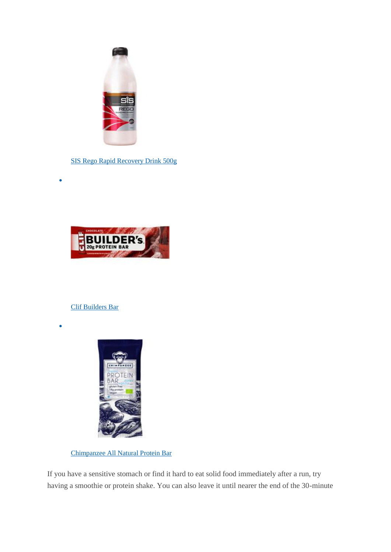

SIS Rego Rapid Recovery Drink 500g



#### [Clif Builders Bar](http://www.runandbecome.com/item/Clif-Bar/Clif-Builders-Bar/94)

 $\bullet$ 

 $\bullet$ 



[Chimpanzee All Natural Protein Bar](http://www.runandbecome.com/item/Chimpanzee/All-Natural-Protein-Bar/22Y8) 

If you have a sensitive stomach or find it hard to eat solid food immediately after a run, try having a smoothie or protein shake. You can also leave it until nearer the end of the 30-minute